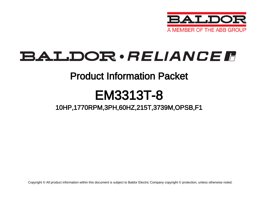

# BALDOR · RELIANCE F

### Product Information Packet

# EM3313T-8

### 10HP,1770RPM,3PH,60HZ,215T,3739M,OPSB,F1

Copyright © All product information within this document is subject to Baldor Electric Company copyright © protection, unless otherwise noted.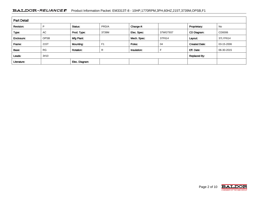#### BALDOR · RELIANCE F Product Information Packet: EM3313T-8 - 10HP,1770RPM,3PH,60HZ,215T,3739M,OPSB,F1

| <b>Part Detail</b> |             |                  |                |             |          |                      |            |  |  |
|--------------------|-------------|------------------|----------------|-------------|----------|----------------------|------------|--|--|
| Revision:          | P           | Status:          | PRD/A          | Change #:   |          | Proprietary:         | No         |  |  |
| Type:              | AC          | Prod. Type:      | 3739M          | Elec. Spec: | 37WGT937 | CD Diagram:          | CD0006     |  |  |
| Enclosure:         | <b>OPSB</b> | Mfg Plant:       |                | Mech. Spec: | 37F614   | Layout:              | 37LYF614   |  |  |
| Frame:             | 215T        | Mounting:        | F <sub>1</sub> | Poles:      | 04       | <b>Created Date:</b> | 03-15-2006 |  |  |
| Base:              | <b>RG</b>   | <b>Rotation:</b> | R              | Insulation: |          | Eff. Date:           | 06-30-2015 |  |  |
| Leads:             | 3#10        |                  |                |             |          | <b>Replaced By:</b>  |            |  |  |
| Literature:        |             | Elec. Diagram:   |                |             |          |                      |            |  |  |

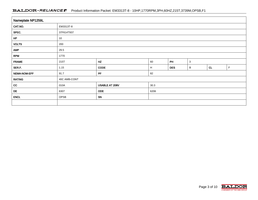#### BALDOR · RELIANCE F Product Information Packet: EM3313T-8 - 10HP,1770RPM,3PH,60HZ,215T,3739M,OPSB,F1

| Nameplate NP1259L |                                        |      |   |            |   |    |   |  |  |
|-------------------|----------------------------------------|------|---|------------|---|----|---|--|--|
| CAT.NO.           | EM3313T-8                              |      |   |            |   |    |   |  |  |
| SPEC.             | 37F614T937                             |      |   |            |   |    |   |  |  |
| HP                | 10                                     |      |   |            |   |    |   |  |  |
| <b>VOLTS</b>      | 200                                    |      |   |            |   |    |   |  |  |
| <b>AMP</b>        | 29.5                                   |      |   |            |   |    |   |  |  |
| <b>RPM</b>        | 1770                                   |      |   |            |   |    |   |  |  |
| <b>FRAME</b>      | HZ<br>PH<br>$\mathbf{3}$<br>215T<br>60 |      |   |            |   |    |   |  |  |
| SER.F.            | 1.15                                   | CODE | H | <b>DES</b> | B | CL | F |  |  |
| NEMA-NOM-EFF      | PF<br>91.7<br>82                       |      |   |            |   |    |   |  |  |
| <b>RATING</b>     | 40C AMB-CONT                           |      |   |            |   |    |   |  |  |
| cc                | USABLE AT 208V<br>30.3<br>010A         |      |   |            |   |    |   |  |  |
| DE                | <b>ODE</b><br>6206<br>6307             |      |   |            |   |    |   |  |  |
| <b>ENCL</b>       | OPSB                                   | SN   |   |            |   |    |   |  |  |
|                   |                                        |      |   |            |   |    |   |  |  |

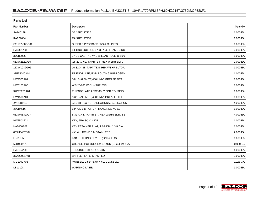| <b>Parts List</b>  |                                          |          |  |  |  |  |
|--------------------|------------------------------------------|----------|--|--|--|--|
| <b>Part Number</b> | Description                              | Quantity |  |  |  |  |
| SA140179           | SA 37F614T937                            | 1.000 EA |  |  |  |  |
| RA129604           | RA 37F614T937                            | 1.000 EA |  |  |  |  |
| S/P107-000-001     | SUPER E PROC'S-FS, WS & CK PLTS          | 1.000 EA |  |  |  |  |
| HA6361A01          | LIFTING LUG FOR 37, 39 & 40 FRAME ZINC   | 2.000 EA |  |  |  |  |
| 37CB3006           | 37 CB CASTING W/1.38 LEAD HOLE @ 6:00    | 1.000 EA |  |  |  |  |
| 51XW2520A10        | .25-20 X .62, TAPTITE II, HEX WSHR SLTD  | 2.000 EA |  |  |  |  |
| 11XW1032G06        | 10-32 X .38, TAPTITE II, HEX WSHR SLTD U | 1.000 EA |  |  |  |  |
| 37FE3200A01        | FR ENDPLATE, FOR ROUTING PURPOSES        | 1.000 EA |  |  |  |  |
| HW4500A01          | 1641B(ALEMITE)400 UNIV, GREASE FITT      | 1.000 EA |  |  |  |  |
| HW5100A06          | W2420-025 WVY WSHR (WB)                  | 1.000 EA |  |  |  |  |
| 37PE3201A01        | PU ENDPLATE ASSEMBLY FOR ROUTING         | 1.000 EA |  |  |  |  |
| HW4500A01          | 1641B(ALEMITE)400 UNIV, GREASE FITT      | 1.000 EA |  |  |  |  |
| XY3118A12          | 5/16-18 HEX NUT DIRECTIONAL SERRATION    | 4.000 EA |  |  |  |  |
| 37CB4516           | LIPPED LID FOR 37 FRAME NEC KOBX         | 1.000 EA |  |  |  |  |
| 51XW0832A07        | 8-32 X .44, TAPTITE II, HEX WSHR SLTD SE | 4.000 EA |  |  |  |  |
| HW2501F21          | KEY, 5/16 SQ X 2.375                     | 1.000 EA |  |  |  |  |
| HA7000A02          | KEY RETAINER RING, 1 1/8 DIA, 1 3/8 DIA  | 1.000 EA |  |  |  |  |
| 85XU0407S04        | 4X1/4 U DRIVE PIN STAINLESS              | 2.000 EA |  |  |  |  |
| LB1115N            | LABEL, LIFTING DEVICE (ON ROLLS)         | 1.000 EA |  |  |  |  |
| MJ1000A75          | GREASE, POLYREX EM EXXON (USe 4824-15A)  | 0.050 LB |  |  |  |  |
| HA3104A35          | THRUBOLT .31-18 X 13.687                 | 4.000 EA |  |  |  |  |
| 37AD2001A01        | BAFFLE PLATE, STAMPED                    | 2.000 EA |  |  |  |  |
| MG1000Y03          | MUNSELL 2.53Y 6.70/ 4.60, GLOSS 20,      | 0.028 GA |  |  |  |  |
| LB1119N            | <b>WARNING LABEL</b>                     | 1.000 EA |  |  |  |  |

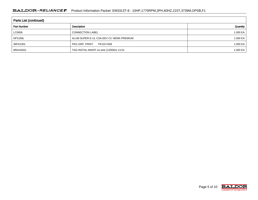| Parts List (continued) |                                          |          |  |  |  |  |  |
|------------------------|------------------------------------------|----------|--|--|--|--|--|
| <b>Part Number</b>     | Description                              | Quantity |  |  |  |  |  |
| LC0006                 | <b>CONNECTION LABEL</b>                  | 1.000 EA |  |  |  |  |  |
| <b>NP1259L</b>         | ALUM SUPER-E UL CSA-EEV CC NEMA PREMIUM  | 1.000 EA |  |  |  |  |  |
| 36PA1001               | PKG GRP, PRINT<br>PK1017A06              | 1.000 EA |  |  |  |  |  |
| MN416A01               | TAG-INSTAL-MAINT no wire (1200/bx) 11/14 | 1.000 EA |  |  |  |  |  |

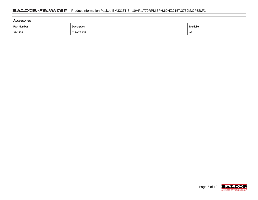| Accessories |                   |    |  |  |  |  |  |
|-------------|-------------------|----|--|--|--|--|--|
| Part Number | <b>Multiplier</b> |    |  |  |  |  |  |
| $37-1404$   | C FACE KIT        | A8 |  |  |  |  |  |

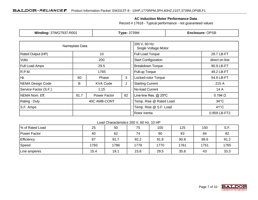#### **AC Induction Motor Performance Data**

Record # 17618 - Typical performance - not guaranteed values

| <b>Winding: 37WGT937-R001</b> |                | <b>Type: 3739M</b>  |                                       | <b>Enclosure: OPSB</b>     |                |  |
|-------------------------------|----------------|---------------------|---------------------------------------|----------------------------|----------------|--|
|                               | Nameplate Data |                     | 200 V, 60 Hz:<br>Single Voltage Motor |                            |                |  |
| Rated Output (HP)             |                | 10                  | <b>Full Load Torque</b><br>29.7 LB-FT |                            |                |  |
| Volts                         | 200            |                     |                                       | <b>Start Configuration</b> | direct on line |  |
| Full Load Amps                | 29.5           |                     |                                       | <b>Breakdown Torque</b>    | 90.9 LB-FT     |  |
| R.P.M.                        | 1765           |                     |                                       | Pull-up Torque             | 49.2 LB-FT     |  |
| Hz<br>3<br>60<br>Phase        |                | Locked-rotor Torque | 54.9 LB-FT                            |                            |                |  |
| <b>NEMA Design Code</b>       | B              | <b>KVA Code</b>     | J                                     | <b>Starting Current</b>    | 215 A          |  |
| Service Factor (S.F.)         | 1.15           |                     |                                       | No-load Current            | 14 A           |  |
| NEMA Nom. Eff.                | 91.7           | Power Factor        | 82                                    | Line-line Res. @ 25°C      | $0.194 \Omega$ |  |
| Rating - Duty                 | 40C AMB-CONT   |                     |                                       | Temp. Rise @ Rated Load    | $34^{\circ}$ C |  |
| S.F. Amps                     |                |                     |                                       | Temp. Rise @ S.F. Load     | $41^{\circ}$ C |  |
|                               |                |                     |                                       | Rotor inertia              | 0.959 LB-FT2   |  |

#### Load Characteristics 200 V, 60 Hz, 10 HP

| % of Rated Load | 25   | 50   | 75   | 100  | 125  | 150  | S.F. |
|-----------------|------|------|------|------|------|------|------|
| Power Factor    | 40   | 62   | 74   | 80   | 83   | 84   | 82   |
| Efficiency      | 87   | 91.7 | 92.2 | 91.8 | 90.8 | 89.6 | 91.2 |
| Speed           | 1793 | 1786 | 1778 | 1770 | 1761 | 1751 | 1765 |
| Line amperes    | 15.4 | 19.1 | 23.8 | 29.5 | 35.8 | 43   | 33.3 |

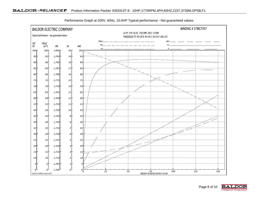

Performance Graph at 200V, 60Hz, 10.0HP Typical performance - Not guaranteed values

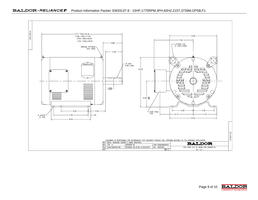